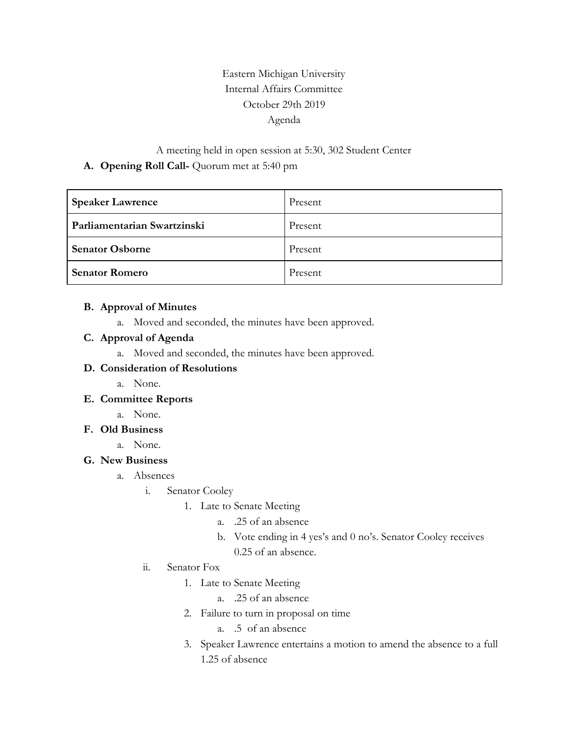# Eastern Michigan University Internal Affairs Committee October 29th 2019 Agenda

## A meeting held in open session at 5:30, 302 Student Center **A. Opening Roll Call-** Quorum met at 5:40 pm

| <b>Speaker Lawrence</b>     | Present |
|-----------------------------|---------|
| Parliamentarian Swartzinski | Present |
| <b>Senator Osborne</b>      | Present |
| <b>Senator Romero</b>       | Present |

#### **B. Approval of Minutes**

a. Moved and seconded, the minutes have been approved.

#### **C. Approval of Agenda**

a. Moved and seconded, the minutes have been approved.

#### **D. Consideration of Resolutions**

a. None.

## **E. Committee Reports**

a. None.

## **F. Old Business**

a. None.

## **G. New Business**

- a. Absences
	- i. Senator Cooley
		- 1. Late to Senate Meeting
			- a. .25 of an absence
			- b. Vote ending in 4 yes's and 0 no's. Senator Cooley receives 0.25 of an absence.
	- ii. Senator Fox
		- 1. Late to Senate Meeting
			- a. .25 of an absence
		- 2. Failure to turn in proposal on time
			- a. .5 of an absence
		- 3. Speaker Lawrence entertains a motion to amend the absence to a full 1.25 of absence